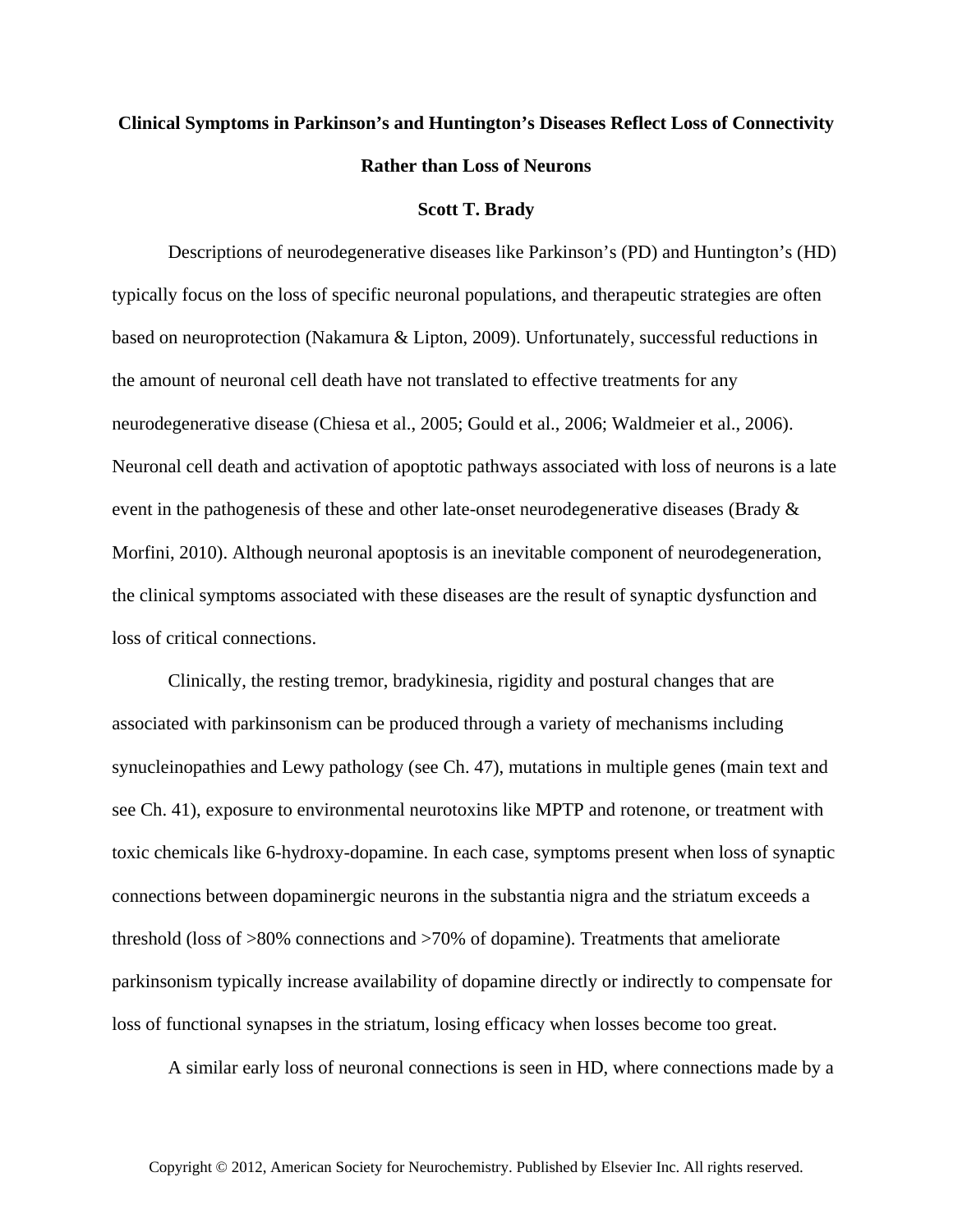## **Clinical Symptoms in Parkinson's and Huntington's Diseases Reflect Loss of Connectivity Rather than Loss of Neurons**

## **Scott T. Brady**

Descriptions of neurodegenerative diseases like Parkinson's (PD) and Huntington's (HD) typically focus on the loss of specific neuronal populations, and therapeutic strategies are often based on neuroprotection (Nakamura & Lipton, 2009). Unfortunately, successful reductions in the amount of neuronal cell death have not translated to effective treatments for any neurodegenerative disease (Chiesa et al., 2005; Gould et al., 2006; Waldmeier et al., 2006). Neuronal cell death and activation of apoptotic pathways associated with loss of neurons is a late event in the pathogenesis of these and other late-onset neurodegenerative diseases (Brady & Morfini, 2010). Although neuronal apoptosis is an inevitable component of neurodegeneration, the clinical symptoms associated with these diseases are the result of synaptic dysfunction and loss of critical connections.

Clinically, the resting tremor, bradykinesia, rigidity and postural changes that are associated with parkinsonism can be produced through a variety of mechanisms including synucleinopathies and Lewy pathology (see Ch. 47), mutations in multiple genes (main text and see Ch. 41), exposure to environmental neurotoxins like MPTP and rotenone, or treatment with toxic chemicals like 6-hydroxy-dopamine. In each case, symptoms present when loss of synaptic connections between dopaminergic neurons in the substantia nigra and the striatum exceeds a threshold (loss of >80% connections and >70% of dopamine). Treatments that ameliorate parkinsonism typically increase availability of dopamine directly or indirectly to compensate for loss of functional synapses in the striatum, losing efficacy when losses become too great.

A similar early loss of neuronal connections is seen in HD, where connections made by a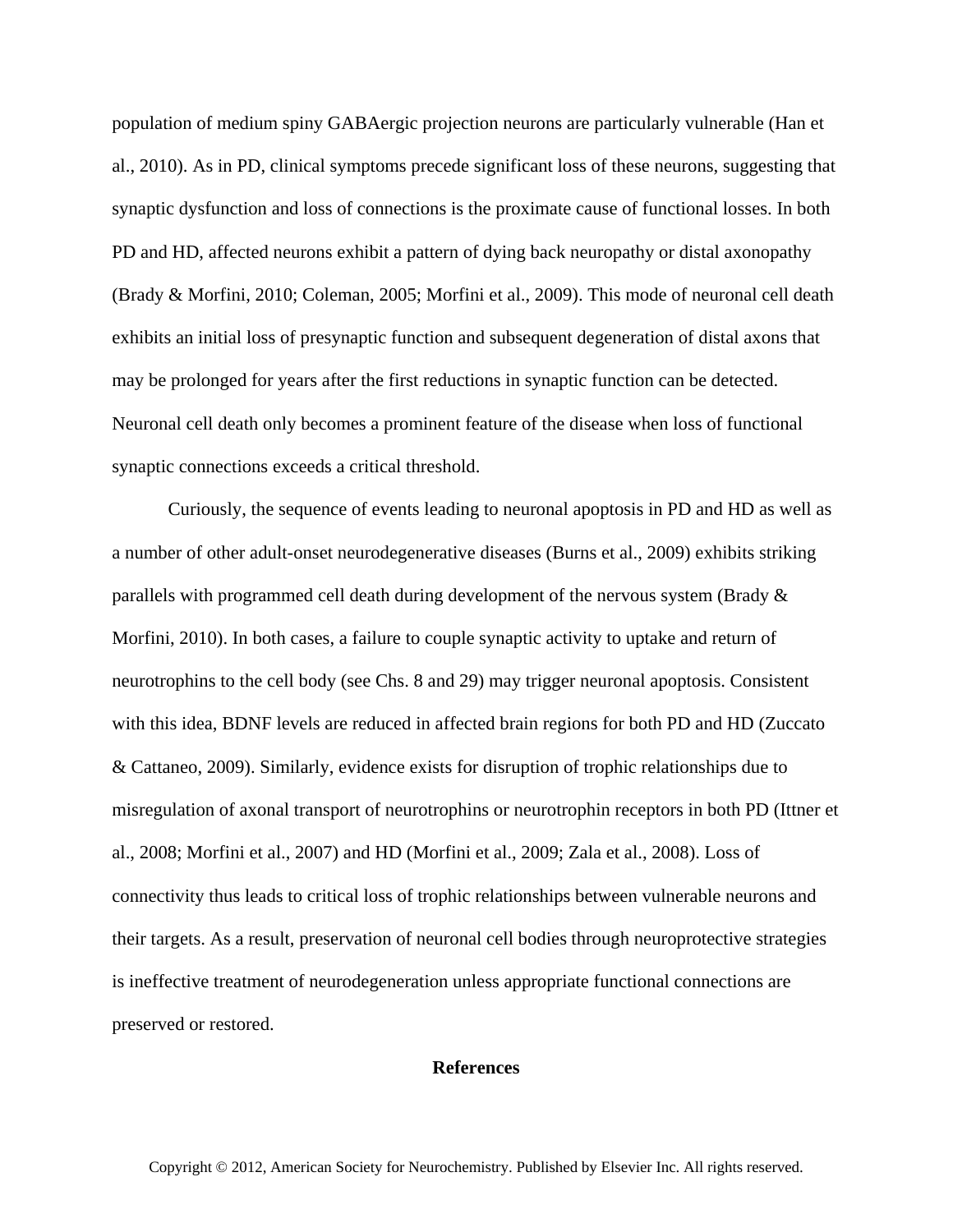population of medium spiny GABAergic projection neurons are particularly vulnerable (Han et al., 2010). As in PD, clinical symptoms precede significant loss of these neurons, suggesting that synaptic dysfunction and loss of connections is the proximate cause of functional losses. In both PD and HD, affected neurons exhibit a pattern of dying back neuropathy or distal axonopathy (Brady & Morfini, 2010; Coleman, 2005; Morfini et al., 2009). This mode of neuronal cell death exhibits an initial loss of presynaptic function and subsequent degeneration of distal axons that may be prolonged for years after the first reductions in synaptic function can be detected. Neuronal cell death only becomes a prominent feature of the disease when loss of functional synaptic connections exceeds a critical threshold.

Curiously, the sequence of events leading to neuronal apoptosis in PD and HD as well as a number of other adult-onset neurodegenerative diseases (Burns et al., 2009) exhibits striking parallels with programmed cell death during development of the nervous system (Brady & Morfini, 2010). In both cases, a failure to couple synaptic activity to uptake and return of neurotrophins to the cell body (see Chs. 8 and 29) may trigger neuronal apoptosis. Consistent with this idea, BDNF levels are reduced in affected brain regions for both PD and HD (Zuccato & Cattaneo, 2009). Similarly, evidence exists for disruption of trophic relationships due to misregulation of axonal transport of neurotrophins or neurotrophin receptors in both PD (Ittner et al., 2008; Morfini et al., 2007) and HD (Morfini et al., 2009; Zala et al., 2008). Loss of connectivity thus leads to critical loss of trophic relationships between vulnerable neurons and their targets. As a result, preservation of neuronal cell bodies through neuroprotective strategies is ineffective treatment of neurodegeneration unless appropriate functional connections are preserved or restored.

## **References**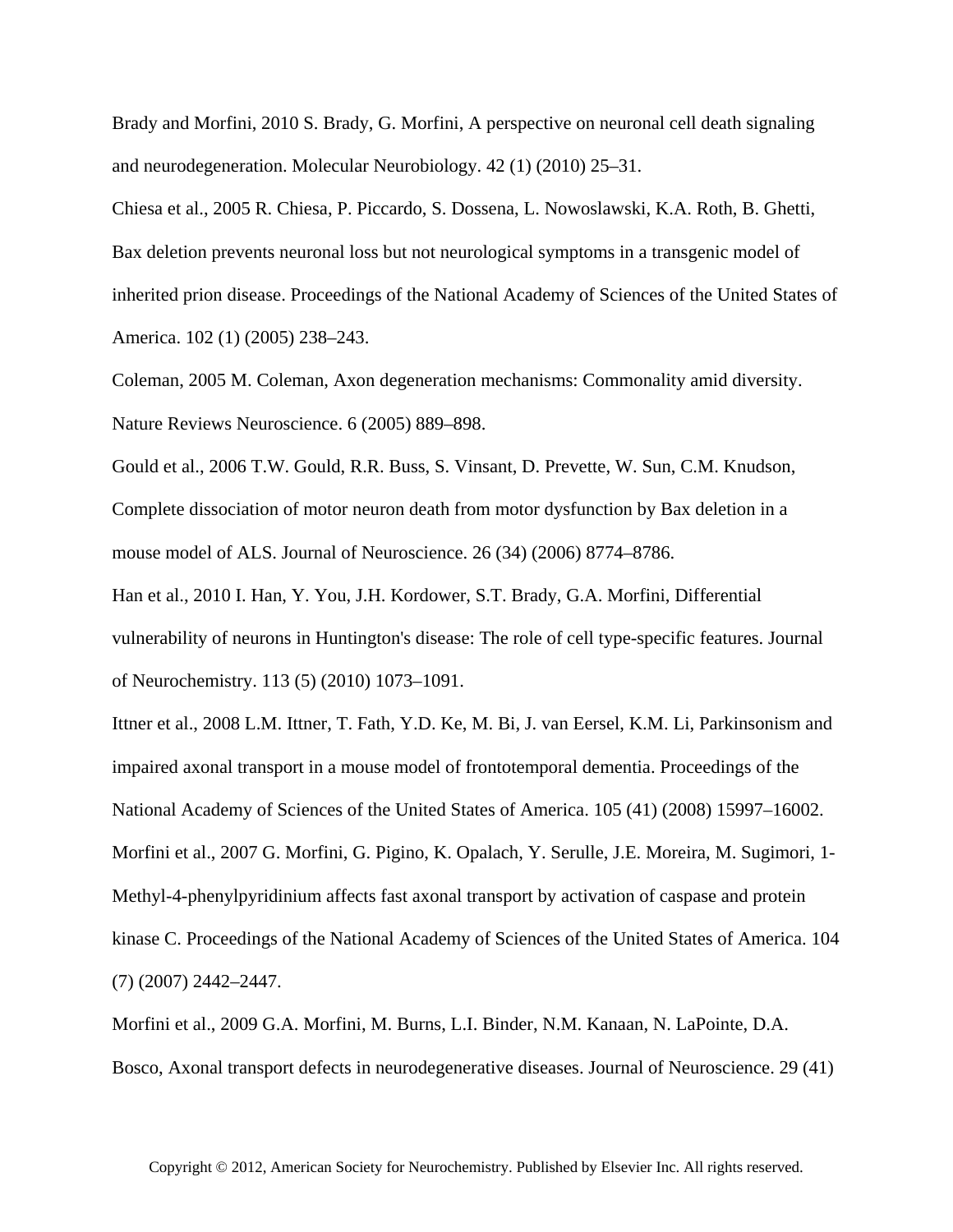Brady and Morfini, 2010 S. Brady, G. Morfini, A perspective on neuronal cell death signaling and neurodegeneration. Molecular Neurobiology. 42 (1) (2010) 25–31.

Chiesa et al., 2005 R. Chiesa, P. Piccardo, S. Dossena, L. Nowoslawski, K.A. Roth, B. Ghetti, Bax deletion prevents neuronal loss but not neurological symptoms in a transgenic model of inherited prion disease. Proceedings of the National Academy of Sciences of the United States of America. 102 (1) (2005) 238–243.

Coleman, 2005 M. Coleman, Axon degeneration mechanisms: Commonality amid diversity. Nature Reviews Neuroscience. 6 (2005) 889–898.

Gould et al., 2006 T.W. Gould, R.R. Buss, S. Vinsant, D. Prevette, W. Sun, C.M. Knudson, Complete dissociation of motor neuron death from motor dysfunction by Bax deletion in a mouse model of ALS. Journal of Neuroscience. 26 (34) (2006) 8774–8786.

Han et al., 2010 I. Han, Y. You, J.H. Kordower, S.T. Brady, G.A. Morfini, Differential vulnerability of neurons in Huntington's disease: The role of cell type-specific features. Journal of Neurochemistry. 113 (5) (2010) 1073–1091.

Ittner et al., 2008 L.M. Ittner, T. Fath, Y.D. Ke, M. Bi, J. van Eersel, K.M. Li, Parkinsonism and impaired axonal transport in a mouse model of frontotemporal dementia. Proceedings of the National Academy of Sciences of the United States of America. 105 (41) (2008) 15997–16002. Morfini et al., 2007 G. Morfini, G. Pigino, K. Opalach, Y. Serulle, J.E. Moreira, M. Sugimori, 1- Methyl-4-phenylpyridinium affects fast axonal transport by activation of caspase and protein kinase C. Proceedings of the National Academy of Sciences of the United States of America. 104 (7) (2007) 2442–2447.

Morfini et al., 2009 G.A. Morfini, M. Burns, L.I. Binder, N.M. Kanaan, N. LaPointe, D.A. Bosco, Axonal transport defects in neurodegenerative diseases. Journal of Neuroscience. 29 (41)